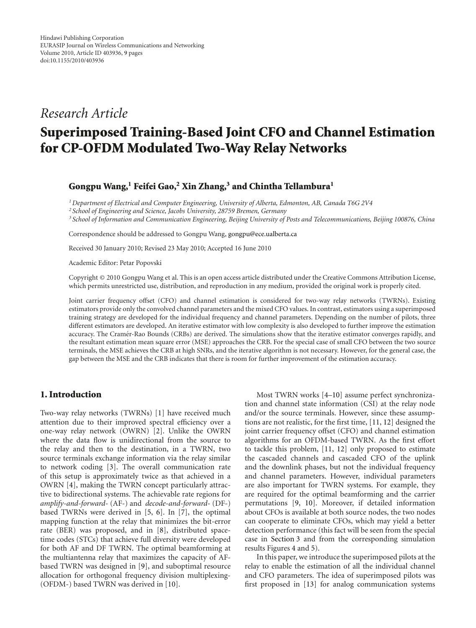## *Research Article*

# **Superimposed Training-Based Joint CFO and Channel Estimation for CP-OFDM Modulated Two-Way Relay Networks**

#### **Gongpu Wang,1 Feifei Gao,2 Xin Zhang,3 and Chintha Tellambura1**

*1Department of Electrical and Computer Engineering, University of Alberta, Edmonton, AB, Canada T6G 2V4*

*<sup>2</sup> School of Engineering and Science, Jacobs University, 28759 Bremen, Germany*

*<sup>3</sup> School of Information and Communication Engineering, Beijing University of Posts and Telecommunications, Beijing 100876, China*

Correspondence should be addressed to Gongpu Wang, gongpu@ece.ualberta.ca

Received 30 January 2010; Revised 23 May 2010; Accepted 16 June 2010

Academic Editor: Petar Popovski

Copyright © 2010 Gongpu Wang et al. This is an open access article distributed under the Creative Commons Attribution License, which permits unrestricted use, distribution, and reproduction in any medium, provided the original work is properly cited.

Joint carrier frequency offset (CFO) and channel estimation is considered for two-way relay networks (TWRNs). Existing estimators provide only the convolved channel parameters and the mixed CFO values. In contrast, estimators using a superimposed training strategy are developed for the individual frequency and channel parameters. Depending on the number of pilots, three different estimators are developed. An iterative estimator with low complexity is also developed to further improve the estimation accuracy. The Cramer-Rao Bounds (CRBs) are derived. The simulations show that the iterative estimator converges rapidly, and ´ the resultant estimation mean square error (MSE) approaches the CRB. For the special case of small CFO between the two source terminals, the MSE achieves the CRB at high SNRs, and the iterative algorithm is not necessary. However, for the general case, the gap between the MSE and the CRB indicates that there is room for further improvement of the estimation accuracy.

### **1. Introduction**

Two-way relay networks (TWRNs) [1] have received much attention due to their improved spectral efficiency over a one-way relay network (OWRN) [2]. Unlike the OWRN where the data flow is unidirectional from the source to the relay and then to the destination, in a TWRN, two source terminals exchange information via the relay similar to network coding [3]. The overall communication rate of this setup is approximately twice as that achieved in a OWRN [4], making the TWRN concept particularly attractive to bidirectional systems. The achievable rate regions for *amplify-and-forward*- (AF-) and *decode-and-forward*- (DF-) based TWRNs were derived in [5, 6]. In [7], the optimal mapping function at the relay that minimizes the bit-error rate (BER) was proposed, and in [8], distributed spacetime codes (STCs) that achieve full diversity were developed for both AF and DF TWRN. The optimal beamforming at the multiantenna relay that maximizes the capacity of AFbased TWRN was designed in [9], and suboptimal resource allocation for orthogonal frequency division multiplexing- (OFDM-) based TWRN was derived in [10].

Most TWRN works [4–10] assume perfect synchronization and channel state information (CSI) at the relay node and/or the source terminals. However, since these assumptions are not realistic, for the first time, [11, 12] designed the joint carrier frequency offset (CFO) and channel estimation algorithms for an OFDM-based TWRN. As the first effort to tackle this problem, [11, 12] only proposed to estimate the cascaded channels and cascaded CFO of the uplink and the downlink phases, but not the individual frequency and channel parameters. However, individual parameters are also important for TWRN systems. For example, they are required for the optimal beamforming and the carrier permutations [9, 10]. Moreover, if detailed information about CFOs is available at both source nodes, the two nodes can cooperate to eliminate CFOs, which may yield a better detection performance (this fact will be seen from the special case in Section 3 and from the corresponding simulation results Figures 4 and 5).

In this paper, we introduce the superimposed pilots at the relay to enable the estimation of all the individual channel and CFO parameters. The idea of superimposed pilots was first proposed in [13] for analog communication systems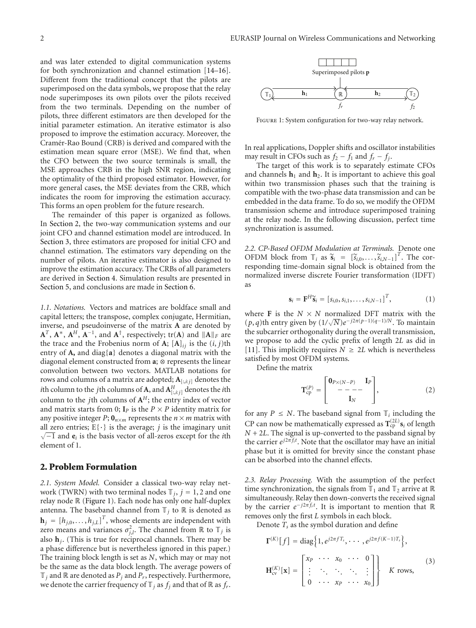and was later extended to digital communication systems for both synchronization and channel estimation [14–16]. Different from the traditional concept that the pilots are superimposed on the data symbols, we propose that the relay node superimposes its own pilots over the pilots received from the two terminals. Depending on the number of pilots, three different estimators are then developed for the initial parameter estimation. An iterative estimator is also proposed to improve the estimation accuracy. Moreover, the Cramer-Rao Bound (CRB) is derived and compared with the ´ estimation mean square error (MSE). We find that, when the CFO between the two source terminals is small, the MSE approaches CRB in the high SNR region, indicating the optimality of the third proposed estimator. However, for more general cases, the MSE deviates from the CRB, which indicates the room for improving the estimation accuracy. This forms an open problem for the future research.

The remainder of this paper is organized as follows. In Section 2, the two-way communication systems and our joint CFO and channel estimation model are introduced. In Section 3, three estimators are proposed for initial CFO and channel estimation. The estimators vary depending on the number of pilots. An iterative estimator is also designed to improve the estimation accuracy. The CRBs of all parameters are derived in Section 4. Simulation results are presented in Section 5, and conclusions are made in Section 6.

*1.1. Notations.* Vectors and matrices are boldface small and capital letters; the transpose, complex conjugate, Hermitian, inverse, and pseudoinverse of the matrix **A** are denoted by  $\mathbf{A}^T$ ,  $\mathbf{A}^*$ ,  $\mathbf{A}^H$ ,  $\mathbf{A}^{-1}$ , and  $\mathbf{A}^{\dagger}$ , respectively; tr(**A**) and  $\|\mathbf{A}\|_F$  are the trace and the Frobenius norm of **A**;  $[A]_{ij}$  is the  $(i, j)$ th entry of **A,** and diag{**a**} denotes a diagonal matrix with the diagonal element constructed from **a**; ⊗ represents the linear convolution between two vectors. MATLAB notations for rows and columns of a matrix are adopted; **A**[:,*i*:*j*] denotes the *i*th column to the *j*th columns of **A**, and  $A^H_{[:,i;j]}$  denotes the *i*th column to the *j*th columns of  $A<sup>H</sup>$ ; the entry index of vector and matrix starts from 0;  $I_P$  is the  $P \times P$  identity matrix for any positive integer *P*;  $\mathbf{0}_{n \times m}$  represents the  $n \times m$  matrix with all zero entries;  $E\{\cdot\}$  is the average; *j* is the imaginary unit  $\sqrt{-1}$  and  $\mathbf{e}_i$  is the basis vector of all-zeros except for the *i*th element of 1.

#### **2. Problem Formulation**

*2.1. System Model.* Consider a classical two-way relay network (TWRN) with two terminal nodes  $\mathbb{T}_j$ ,  $j = 1, 2$  and one relay node R (Figure 1). Each node has only one half-duplex antenna. The baseband channel from  $\mathbb{T}_j$  to  $\mathbb R$  is denoted as  $\mathbf{h}_j = [h_{j,0}, \dots, h_{j,L}]^T$ , whose elements are independent with zero means and variances  $\sigma_{j,l}^2$ . The channel from  $\mathbb R$  to  $\mathbb T_j$  is also  $\mathbf{h}_i$ . (This is true for reciprocal channels. There may be a phase difference but is nevertheless ignored in this paper.) The training block length is set as *N*, which may or may not be the same as the data block length. The average powers of  $\mathbb{T}_j$  and  $\mathbb{R}$  are denoted as  $P_j$  and  $P_r$ , respectively. Furthermore, we denote the carrier frequency of  $\mathbb{T}_i$  as  $f_i$  and that of  $\mathbb{R}$  as  $f_r$ .



Figure 1: System configuration for two-way relay network.

In real applications, Doppler shifts and oscillator instabilities may result in CFOs such as  $f_2 - f_1$  and  $f_r - f_i$ .

The target of this work is to separately estimate CFOs and channels  $h_1$  and  $h_2$ . It is important to achieve this goal within two transmission phases such that the training is compatible with the two-phase data transmission and can be embedded in the data frame. To do so, we modify the OFDM transmission scheme and introduce superimposed training at the relay node. In the following discussion, perfect time synchronization is assumed.

*2.2. CP-Based OFDM Modulation at Terminals.* Denote one 2.2. CP-Based OFDM Modulation at Terminals. Denote one<br>OFDM block from  $\mathbb{T}_i$  as  $\widetilde{s}_i = [\widetilde{s}_{i,0}, \ldots, \widetilde{s}_{i,N-1}]^T$ . The corresponding time-domain signal block is obtained from the normalized inverse discrete Fourier transformation (IDFT)<br> **as**<br>  $\mathbf{s}_i = \mathbf{F}^H \tilde{\mathbf{s}}_i = [s_{i,0}, s_{i,1}, \dots, s_{i,N-1}]^T$ , (1) as

$$
\mathbf{s}_i = \mathbf{F}^H \widetilde{\mathbf{s}}_i = [s_{i,0}, s_{i,1}, \dots, s_{i,N-1}]^T, \tag{1}
$$

where **F** is the  $N \times N$  normalized DFT matrix with the (*p*, *q*)th entry given by  $(1/\sqrt{N})e^{-j2\pi(p-1)(q-1)/N}$ . To maintain the subcarrier orthogonality during the overall transmission, we propose to add the cyclic prefix of length 2*L* as did in [11]. This implicitly requires  $N \geq 2L$  which is nevertheless satisfied by most OFDM systems.  $\ddot{\phantom{0}}$ 

Define the matrix

$$
\mathbf{T}_{\rm cp}^{(P)} = \begin{bmatrix} \mathbf{0}_{P \times (N-P)} & \mathbf{I}_P \\ - - - - - \\ \mathbf{I}_N \end{bmatrix},\tag{2}
$$

for any  $P \leq N$ . The baseband signal from  $\mathbb{T}_i$  including the CP can now be mathematically expressed as  $T_{cp}^{(2L)}$  s<sub>*i*</sub> of length  $N + 2L$ . The signal is up-converted to the passband signal by the carrier *ej*2*π fit* . Note that the oscillator may have an initial phase but it is omitted for brevity since the constant phase can be absorbed into the channel effects.

*2.3. Relay Processing.* With the assumption of the perfect time synchronization, the signals from  $\mathbb{T}_1$  and  $\mathbb{T}_2$  arrive at  $\mathbb{R}$ simultaneously. Relay then down-converts the received signal by the carrier  $e^{-j2\pi f_t t}$ . It is important to mention that  $\mathbb R$ removes only the first *L* symbols in each block.<br>
Denote *T<sub>s</sub>* as the symbol duration and defin<br>  $\Gamma^{(K)}[f] = \text{diag}\left\{1, e^{j2\pi fT_s}, \cdots, e^{j2\pi f(K-j)}\right\}$ 

Denote  $T_s$  as the symbol duration and define

$$
\mathbf{\Gamma}^{(K)}[f] = \text{diag}\Big\{1, e^{j2\pi f T_s}, \cdots, e^{j2\pi f (K-1)T_s}\Big\},
$$

$$
\mathbf{H}_{\text{cv}}^{(K)}[\mathbf{x}] = \begin{bmatrix} x_p & \cdots & x_0 & \cdots & 0 \\ \vdots & \ddots & \ddots & \ddots & \vdots \\ 0 & \cdots & x_p & \cdots & x_0 \end{bmatrix} \Big\} \quad K \text{ rows},
$$
 (3)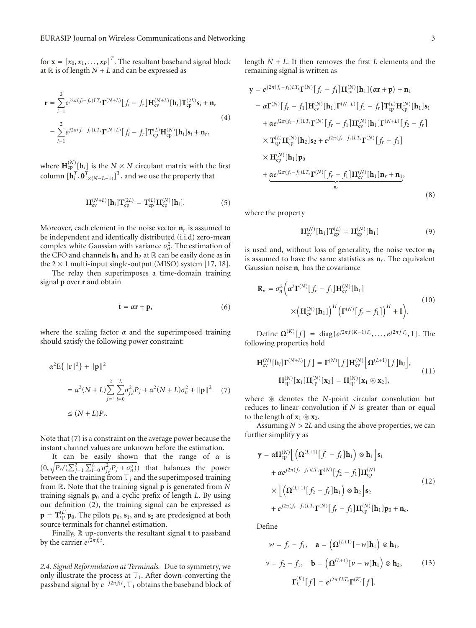for  $\mathbf{x} = [x_0, x_1, \dots, x_p]^T$ . The resultant baseband signal block at  $\mathbb R$  is of length  $N + L$  and can be expressed as

$$
\mathbf{r} = \sum_{i=1}^{2} e^{j2\pi (f_i - f_r)LT_s} \mathbf{\Gamma}^{(N+L)} [f_i - f_r] \mathbf{H}_{cv}^{(N+L)} [\mathbf{h}_i] \mathbf{T}_{cp}^{(2L)} \mathbf{s}_i + \mathbf{n}_r
$$
  
\n
$$
= \sum_{i=1}^{2} e^{j2\pi (f_i - f_r)LT_s} \mathbf{\Gamma}^{(N+L)} [f_i - f_r] \mathbf{T}_{cp}^{(L)} \mathbf{H}_{cp}^{(N)} [\mathbf{h}_i] \mathbf{s}_i + \mathbf{n}_r,
$$
\n(4)

where  $\mathbf{H}_{\text{cp}}^{(N)}[\mathbf{h}_i]$  is the  $N \times N$  circulant matrix with the first column  $[\mathbf{h}_i^T, \mathbf{0}_{1 \times (N-L-1)}^T]^T$ , and we use the property that

$$
\mathbf{H}_{cv}^{(N+L)}[\mathbf{h}_i] \mathbf{T}_{cp}^{(2L)} = \mathbf{T}_{cp}^{(L)} \mathbf{H}_{cp}^{(N)}[\mathbf{h}_i].
$$
 (5)

Moreover, each element in the noise vector  $\mathbf{n}_r$  is assumed to be independent and identically distributed (i.i.d) zero-mean complex white Gaussian with variance  $\sigma_n^2$ . The estimation of the CFO and channels  $\mathbf{h}_1$  and  $\mathbf{h}_2$  at  $\mathbb{R}$  can be easily done as in the  $2 \times 1$  multi-input single-output (MISO) system [17, 18].

The relay then superimposes a time-domain training signal **p** over **r** and obtain

$$
\mathbf{t} = \alpha \mathbf{r} + \mathbf{p},\tag{6}
$$

where the scaling factor  $\alpha$  and the superimposed training should satisfy the following power constraint:<br> $\alpha^2 \mathbf{E} \{ ||\mathbf{r}||^2 \} + ||\mathbf{p}||^2$ 

$$
\alpha^{2} \mathbf{E} \{ ||\mathbf{r}||^{2} \} + ||\mathbf{p}||^{2}
$$
  
=  $\alpha^{2} (N + L) \sum_{j=1}^{2} \sum_{l=0}^{L} \sigma_{j,l}^{2} P_{j} + \alpha^{2} (N + L) \sigma_{n}^{2} + ||\mathbf{p}||^{2}$  (7)  
 $\leq (N + L) P_{r}.$ 

Note that (7) is a constraint on the average power because the instant channel values are unknown before the estimation.

It can be easily shown that the range of *α* is Note that (7) is a constraint on the average power because the instant channel values are unknown before the estimation.<br>It can be easily shown that the range of  $\alpha$  is  $(0, \sqrt{P_r/(\sum_{j=1}^2 \sum_{l=0}^L \sigma_{j,l}^2 P_j + \sigma_n^2)})$  that between the training from  $\mathbb{T}_j$  and the superimposed training from R. Note that the training signal **p** is generated from *N* training signals  $\mathbf{p}_0$  and a cyclic prefix of length *L*. By using our definition (2), the training signal can be expressed as  $\mathbf{p} = \mathbf{T}_{cp}^{(L)} \mathbf{p}_0$ . The pilots  $\mathbf{p}_0$ ,  $\mathbf{s}_1$ , and  $\mathbf{s}_2$  are predesigned at both source terminals for channel estimation.

Finally, R up-converts the resultant signal **t** to passband by the carrier  $e^{j2\pi f_r t}$ .

*2.4. Signal Reformulation at Terminals.* Due to symmetry, we only illustrate the process at  $\mathbb{T}_1$ . After down-converting the passband signal by *e*−*j*2*π f*1*<sup>t</sup>* , T<sup>1</sup> obtains the baseband block of

length  $N + L$ . It then removes the first  $L$  elements and the remaining signal is written as

$$
\mathbf{y} = e^{j2\pi (f_r - f_1)LT_s} \mathbf{\Gamma}^{(N)} [f_r - f_1] \mathbf{H}_{cv}^{(N)} [\mathbf{h}_1] (\alpha \mathbf{r} + \mathbf{p}) + \mathbf{n}_1
$$
  
\n
$$
= \alpha \mathbf{\Gamma}^{(N)} [f_r - f_1] \mathbf{H}_{cv}^{(N)} [\mathbf{h}_1] \mathbf{\Gamma}^{(N+L)} [f_1 - f_r] \mathbf{T}_{cp}^{(L)} \mathbf{H}_{cp}^{(N)} [\mathbf{h}_1] \mathbf{s}_1
$$
  
\n
$$
+ \alpha e^{j2\pi (f_2 - f_1)LT_s} \mathbf{\Gamma}^{(N)} [f_r - f_1] \mathbf{H}_{cv}^{(N)} [\mathbf{h}_1] \mathbf{\Gamma}^{(N+L)} [f_2 - f_r]
$$
  
\n
$$
\times \mathbf{T}_{cp}^{(L)} \mathbf{H}_{cp}^{(N)} [\mathbf{h}_2] \mathbf{s}_2 + e^{j2\pi (f_r - f_1)LT_s} \mathbf{\Gamma}^{(N)} [f_r - f_1]
$$
  
\n
$$
\times \mathbf{H}_{cp}^{(N)} [\mathbf{h}_1] \mathbf{p}_0
$$
  
\n
$$
+ \alpha e^{j2\pi (f_r - f_1)LT_s} \mathbf{\Gamma}^{(N)} [f_r - f_1] \mathbf{H}_{cv}^{(N)} [\mathbf{h}_1] \mathbf{n}_r + \mathbf{n}_1,
$$
  
\n
$$
\sum_{n_e}^{n_e} \tag{8}
$$

where the property

$$
H_{cv}^{(N)}[h_1]T_{cp}^{(L)} = H_{cp}^{(N)}[h_1]
$$
 (9)

is used and, without loss of generality, the noise vector  $n_1$ is assumed to have the same statistics as **n***r*. The equivalent Gaussian noise  $n_e$  has the covariance

$$
\mathbf{R}_n = \sigma_n^2 \bigg( \alpha^2 \mathbf{\Gamma}^{(N)} \big[ f_r - f_1 \big] \mathbf{H}_{\text{cv}}^{(N)} [\mathbf{h}_1] \bigg) \times \big( \mathbf{H}_{\text{cv}}^{(N)} [\mathbf{h}_1] \big)^H \big( \mathbf{\Gamma}^{(N)} \big[ f_r - f_1 \big] \big)^H + \mathbf{I} \bigg). \tag{10}
$$

Define **Ω**<sup>(*K*)</sup>[*f*] = diag{*e*<sup>j2*πf*(*K*−1)*T<sub>s</sub>*,...,*e*<sup>j2*πfT<sub>s</sub>*</sub>,1}. The<br> **H**<sub>C</sub><sup>(*N*</sup>)</sub>[**h**<sub>*i*</sub>]**Γ**<sup>(*N*+*L*)</sup>[*f*] = **Γ**<sup>(*N*)</sup>[*f*]**H**<sub>C</sub><sup>*N*</sup><sub></sub></sub>[*f*]**Ω**(*L*+1)[*f*]**h**<sub>*i*</sub>],</sup></sup> following properties hold

$$
\mathbf{H}_{\text{cv}}^{(N)}[\mathbf{h}_i] \mathbf{\Gamma}^{(N+L)}[f] = \mathbf{\Gamma}^{(N)}[f] \mathbf{H}_{\text{cv}}^{(N)} [\mathbf{\Omega}^{(L+1)}[f] \mathbf{h}_i],
$$
\n
$$
\mathbf{H}_{\text{cp}}^{(N)}[\mathbf{x}_1] \mathbf{H}_{\text{cp}}^{(N)}[\mathbf{x}_2] = \mathbf{H}_{\text{cp}}^{(N)}[\mathbf{x}_1 \circledast \mathbf{x}_2],
$$
\n(11)

where  $\circledast$  denotes the *N*-point circular convolution but reduces to linear convolution if *N* is greater than or equal to the length of  $\mathbf{x}_1 \circledast \mathbf{x}_2$ .

Assuming *N* > 2*L* and using the above properties, we can<br>ther simplify **y** as<br> $\mathbf{y} = \alpha \mathbf{H}_{\text{cp}}^{(N)} \left[ \left( \mathbf{\Omega}^{(L+1)} [f_1 - f_r] \mathbf{h}_1 \right) \otimes \mathbf{h}_1 \right] \mathbf{s}_1$ further simplify **y** as

$$
\mathbf{y} = \alpha \mathbf{H}_{cp}^{(N)} \Big[ \Big( \mathbf{\Omega}^{(L+1)} \big[ f_1 - f_r \big] \mathbf{h}_1 \Big) \otimes \mathbf{h}_1 \Big] \mathbf{s}_1
$$
  
+  $\alpha e^{j2\pi (f_2 - f_1)LT_s} \mathbf{\Gamma}^{(N)} \big[ f_2 - f_1 \big] \mathbf{H}_{cp}^{(N)}$   
 $\times \Big[ \Big( \mathbf{\Omega}^{(L+1)} \big[ f_2 - f_r \big] \mathbf{h}_1 \Big) \otimes \mathbf{h}_2 \Big] \mathbf{s}_2$   
+  $e^{j2\pi (f_r - f_1)LT_s} \mathbf{\Gamma}^{(N)} \big[ f_r - f_1 \big] \mathbf{H}_{cp}^{(N)} \big[ \mathbf{h}_1 \big] \mathbf{p}_0 + \mathbf{n}_e.$  (12)

Define

$$
w = f_r - f_1, \quad \mathbf{a} = \left(\mathbf{\Omega}^{(L+1)}[-w]\mathbf{h}_1\right) \otimes \mathbf{h}_1,
$$
  

$$
v = f_2 - f_1, \quad \mathbf{b} = \left(\mathbf{\Omega}^{(L+1)}[v - w]\mathbf{h}_1\right) \otimes \mathbf{h}_2,
$$
  

$$
\Gamma_L^{(K)}[f] = e^{j2\pi fLT_s}\Gamma^{(K)}[f].
$$
 (13)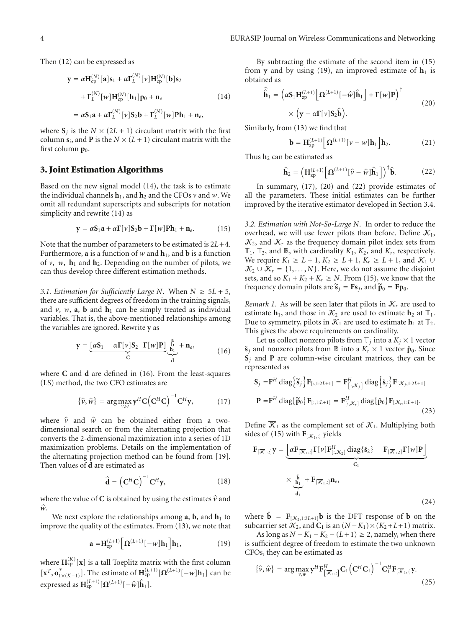Then (12) can be expressed as

$$
\mathbf{y} = \alpha \mathbf{H}_{cp}^{(N)}[\mathbf{a}]\mathbf{s}_1 + \alpha \mathbf{\Gamma}_L^{(N)}[\nu] \mathbf{H}_{cp}^{(N)}[\mathbf{b}]\mathbf{s}_2
$$
  
+ 
$$
\mathbf{\Gamma}_L^{(N)}[\nu] \mathbf{H}_{cp}^{(N)}[\mathbf{h}_1] \mathbf{p}_0 + \mathbf{n}_e
$$
  
= 
$$
\alpha \mathbf{S}_1 \mathbf{a} + \alpha \mathbf{\Gamma}_L^{(N)}[\nu] \mathbf{S}_2 \mathbf{b} + \mathbf{\Gamma}_L^{(N)}[\nu] \mathbf{P} \mathbf{h}_1 + \mathbf{n}_e,
$$
 (14)

where  $S_i$  is the  $N \times (2L + 1)$  circulant matrix with the first column  $s_i$ , and **P** is the  $N \times (L + 1)$  circulant matrix with the first column  $\mathbf{p}_0$ .

#### **3. Joint Estimation Algorithms**

Based on the new signal model (14), the task is to estimate the individual channels  $h_1$ , and  $h_2$  and the CFOs  $v$  and  $w$ . We omit all redundant superscripts and subscripts for notation simplicity and rewrite (14) as

$$
\mathbf{y} = \alpha \mathbf{S}_1 \mathbf{a} + \alpha \mathbf{\Gamma}[\nu] \mathbf{S}_2 \mathbf{b} + \mathbf{\Gamma}[\nu] \mathbf{P} \mathbf{h}_1 + \mathbf{n}_e. \tag{15}
$$

Note that the number of parameters to be estimated is 2*L*+4. Furthermore, **a** is a function of *w* and  $\mathbf{h}_1$ , and **b** is a function of  $v$ ,  $w$ ,  $h_1$  and  $h_2$ . Depending on the number of pilots, we can thus develop three different estimation methods.

*3.1. Estimation for Sufficiently Large N. When*  $N \geq 5L + 5$ *,* there are sufficient degrees of freedom in the training signals, and  $v$ ,  $w$ ,  $a$ ,  $b$  and  $h_1$  can be simply treated as individual variables. That is, the above-mentioned relationships among

the variables are ignored. Rewrite **y** as  
\n
$$
\mathbf{y} = \underbrace{[\alpha \mathbf{S}_1 \quad \alpha \Gamma[\nu] \mathbf{S}_2 \quad \Gamma[\nu] \mathbf{P}]}_{\mathbf{C}} \underbrace{\stackrel{\mathbf{a}}{\mathbf{b}}}_{\mathbf{d}} + \mathbf{n}_e,
$$
\n(16)

where **C** and **d** are defined in (16). From the least-squares (LS) method, the two CFO estimates are<br> $\{\hat{v}, \hat{w}\} = \arg \max y^H C (C^H C)$ 

$$
\{\hat{\mathbf{v}}, \hat{\mathbf{w}}\} = \arg \max_{\mathbf{v}, \mathbf{w}} \mathbf{y}^H \mathbf{C} (\mathbf{C}^H \mathbf{C})^{-1} \mathbf{C}^H \mathbf{y}, \tag{17}
$$

where  $\hat{v}$  and  $\hat{w}$  can be obtained either from a twodimensional search or from the alternating projection that converts the 2-dimensional maximization into a series of 1D maximization problems. Details on the implementation of the alternating projection method can be found from [19]. Then values of **d** are estimated as ectic<br>
esti<br>  $\hat{\mathbf{d}} =$ 

$$
\hat{\mathbf{d}} = (\mathbf{C}^{H}\mathbf{C})^{-1}\mathbf{C}^{H}\mathbf{y},
$$
 (18)  
where the value of **C** is obtained by using the estimates  $\hat{v}$  and

wł<br>*ŵ*.

We next explore the relationships among  $a$ ,  $b$ , and  $h_1$  to improve the quality of the estimates. From (13), we note that the ref<br>of the<br> $(L+1)$   $\begin{bmatrix}L+1\\z\end{bmatrix}$ 

$$
\mathbf{a} = \mathbf{H}_{\text{zp}}^{(L+1)} \Big[ \mathbf{\Omega}^{(L+1)} \big[ -w \big] \mathbf{h}_1 \Big] \mathbf{h}_1,\tag{19}
$$

where  $\mathbf{H}_{\text{zp}}^{(K)}[\mathbf{x}]$  is a tall Toeplitz matrix with the first column  $[\mathbf{x}^T, \mathbf{o}_{1 \times (K-1)}^T]$ . The estimate of  $\mathbf{H}_{\text{zp}}^{(L+1)}[\mathbf{\Omega}^{(L+1)}[-w]\mathbf{h}_1]$  can be expressed as  $\mathbf{H}_{\text{zp}}^{(L+1)}[\mathbf{\Omega}^{(L+1)}[-\hat{w}]\hat{\mathbf{h}}_1].$ is a tall Toeplitz mat<br>The estimate of  $\mathbf{H}_{\text{zp}}^{(L+1)}$ <br> $\mathbf{H}_{\text{zp}}^{(L+1)}[-\hat{\mathbf{w}}]\hat{\mathbf{h}}_1$ .

By subtracting the estimate of the second item in  $(15)$ from **y** and by using (19), an improved estimate of **h**<sub>1</sub> is<br>
obtained as<br>  $\hat{\mathbf{h}}_1 = (\alpha \mathbf{S}_1 \mathbf{H}_{\text{zp}}^{(L+1)} [\mathbf{\Omega}^{(L+1)}[-\hat{w}]\hat{\mathbf{h}}_1] + \mathbf{\Gamma}[w] \mathbf{P})^{\dagger}$ obtained as **y** and a  $\hat{\hat{\mathbf{h}}}_1$  =

$$
\hat{\hat{\mathbf{h}}}_{1} = \left( \alpha \mathbf{S}_{1} \mathbf{H}_{\text{2p}}^{(L+1)} \left[ \mathbf{\Omega}^{(L+1)} \left[ -\hat{\mathbf{w}} \right] \hat{\mathbf{h}}_{1} \right] + \mathbf{\Gamma}[\mathbf{w}] \mathbf{P} \right)^{\dagger} \times \left( \mathbf{y} - \alpha \mathbf{\Gamma}[\mathbf{v}] \mathbf{S}_{2} \hat{\mathbf{b}} \right).
$$
\n(20)

Similarly, from (13) we find that

$$
\times (\mathbf{y} - \alpha \mathbf{\Gamma}[\nu] \mathbf{S}_2 \mathbf{b}).
$$
  
\nn (13) we find that  
\n
$$
\mathbf{b} = \mathbf{H}_{\text{zp}}^{(L+1)} [\mathbf{\Omega}^{(L+1)}[\nu - w] \mathbf{h}_1] \mathbf{h}_2.
$$
 (21)

Thus **h**<sup>2</sup> can be estimated as

$$
\mathbf{b} = \mathbf{H}_{\text{zp}}^{(L+1)} [\mathbf{\Omega}^{(L+1)}[\nu - w] \mathbf{h}_1] \mathbf{h}_2.
$$
 (21)  
be estimated as  

$$
\hat{\mathbf{h}}_2 = \left( \mathbf{H}_{\text{zp}}^{(L+1)} [\mathbf{\Omega}^{(L+1)}[\hat{\nu} - \hat{w}]\hat{\mathbf{h}}_1] \right)^{\dagger} \hat{\mathbf{b}}.
$$
 (22)

In summary, (17), (20) and (22) provide estimates of all the parameters. These initial estimates can be further improved by the iterative estimator developed in Section 3.4.

*3.2. Estimation with Not-So-Large N.* In order to reduce the overhead, we will use fewer pilots than before. Define  $\mathcal{K}_1$ ,  $\mathcal{K}_2$ , and  $\mathcal{K}_r$  as the frequency domain pilot index sets from  $\mathbb{T}_1$ ,  $\mathbb{T}_2$ , and  $\mathbb{R}$ , with cardinality  $K_1$ ,  $K_2$ , and  $K_r$ , respectively. We require  $K_1 \geq L + 1$ ,  $K_2 \geq L + 1$ ,  $K_r \geq L + 1$ , and  $K_1 \cup$  $\mathcal{K}_2 \cup \mathcal{K}_r = \{1, \ldots, N\}$ . Here, we do not assume the disjoint sets, and so  $K_1 + K_2 + K_r \ge N$ . From (15), we know that the  $K_2 \cup K_r = \{1, ..., N\}$ . Here, we do not ass<br>sets, and so  $K_1 + K_2 + K_r \ge N$ . From (15), requency domain pilots are  $\tilde{s}_j = Fs_j$ , and  $\tilde{p}$ frequency domain pilots are  $\tilde{s}_i = \mathbf{F}\mathbf{s}_i$ , and  $\tilde{\mathbf{p}}_0 = \mathbf{F}\mathbf{p}_0$ .

*Remark 1.* As will be seen later that pilots in  $K_r$  are used to estimate  $h_1$ , and those in  $K_2$  are used to estimate  $h_2$  at  $\mathbb{T}_1$ . Due to symmetry, pilots in  $K_1$  are used to estimate  $h_1$  at  $\mathbb{T}_2$ . This gives the above requirements on cardinality.

Let us collect nonzero pilots from  $\mathbb{T}_j$  into a  $K_j \times 1$  vector  $\tilde{\mathbf{s}}_j$  and nonzero pilots from  $\mathbb{R}$  into a  $K_r \times 1$  vector  $\tilde{\mathbf{p}}_0$ . Since **S**<sup>*j*</sup> and **P** are column-wise circulant matrices, they can be represented as  $S_j = F^H \text{diag}\left\{\tilde{s}_j\right\} F_{[:,1:2L+1]} = F^H_{[:,\mathcal{K}_i]} \text{diag}\left\{\tilde{s}_j\right\} F_{[:,\mathcal{K}_i,1:2L+1]}$ represented as  $\mathbf{r}$  $\lim_{n \to \infty} \frac{dX_n}{dx}$ <br> $\lim_{n \to \infty} \frac{dY_n}{dx}$  $\overline{a}$ 

$$
\mathbf{S}_{j} = \mathbf{F}^{H} \operatorname{diag} \{ \widetilde{\mathbf{s}}_{j} \} \mathbf{F}_{[:,1:2L+1]} = \mathbf{F}_{[:,\mathcal{K}_{j}]}^{H} \operatorname{diag} \{ \widetilde{\mathbf{s}}_{j} \} \mathbf{F}_{[\mathcal{K}_{j},1:2L+1]}
$$

$$
\mathbf{P} = \mathbf{F}^{H} \operatorname{diag} \{ \widetilde{\mathbf{p}}_{0} \} \mathbf{F}_{[:,1:L+1]} = \mathbf{F}_{[:,\mathcal{K}_{r}]}^{H} \operatorname{diag} \{ \widetilde{\mathbf{p}}_{0} \} \mathbf{F}_{[\mathcal{K}_{r},1:L+1]}.
$$
(23)

Define  $\overline{\mathcal{K}}_1$  as the complement set of  $\mathcal{K}_1$ . Multiplying both

sides of (15) with 
$$
\mathbf{F}_{[\overline{\mathcal{K}}_1,:]}
$$
 yields  
\n
$$
\mathbf{F}_{[\overline{\mathcal{K}}_1,:]}\mathbf{y} = \underbrace{\left[\alpha\mathbf{F}_{[\overline{\mathcal{K}}_1,:]}\mathbf{\Gamma}[v]\mathbf{F}_{[:,\mathcal{K}_2]}^H \text{ diag}\{\mathbf{\check{s}}_2\} - \mathbf{F}_{[\overline{\mathcal{K}}_1,:]}\mathbf{\Gamma}[w]\mathbf{P}\right]}_{\mathbf{C}_1}
$$
\n
$$
\times \underbrace{\mathbf{\check{b}}_1}_{\mathbf{d}_1} + \mathbf{F}_{[\overline{\mathcal{K}}_1,:]}\mathbf{n}_e,
$$
\n(24)

where  $\check{\mathbf{b}} = \mathbf{F}_{\left[\mathcal{K}_2,1:2L+1\right]} \mathbf{b}$  is the DFT response of **b** on the subcarrier set  $\mathcal{K}_2$ , and **C**<sub>1</sub> is an  $(N - K_1) \times (K_2 + L + 1)$  matrix.

As long as  $N - K_1 - K_2 - (L + 1) \geq 2$ , namely, when there is sufficient degree of freedom to estimate the two unknown CFOs, they can be estimated as<br>  $\{\hat{v}, \hat{w}\} = \arg \max \mathbf{y}^H \mathbf{F}_{[\overline{w}, \cdot]}^H$ 

$$
\{\hat{\mathbf{v}},\hat{\mathbf{w}}\} = \arg\max_{\mathbf{v},\mathbf{w}} \mathbf{y}^H \mathbf{F}_{\left[\overline{\mathcal{K}}_1,:\right]}^H \mathbf{C}_1 \left(\mathbf{C}_1^H \mathbf{C}_1\right)^{-1} \mathbf{C}_1^H \mathbf{F}_{\left[\overline{\mathcal{K}}_1,:\right]} \mathbf{y}.
$$
\n(25)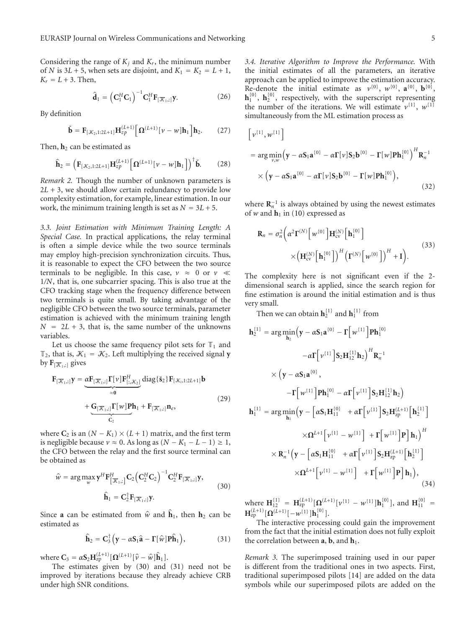Considering the range of  $K_i$  and  $K_r$ , the minimum number of *N* is 3*L* + 5, when sets are disjoint, and  $K_1 = K_2 = L + 1$ ,<br>  $K_r = L + 3$ . Then,<br>  $\hat{\mathbf{d}}_1 = (\mathbf{C}_1^H \mathbf{C}_1)^{-1} \mathbf{C}_1^H \mathbf{F}_{[\overline{K}_1,:]} \mathbf{y}.$  (26)  $K_r = L + 3$ . Then,

$$
\widehat{\mathbf{d}}_1 = \left(\mathbf{C}_1^H \mathbf{C}_1\right)^{-1} \mathbf{C}_1^H \mathbf{F}_{\left[\overline{\mathcal{K}}_1, : \right]} \mathbf{y}.
$$
 (26)

By definition

$$
\mathbf{u}_1 - (\mathbf{C}_1 \mathbf{C}_1) \quad \mathbf{C}_1 \mathbf{r}_{[\mathcal{K}_1,:]} \mathbf{y}.
$$
\nition

\n
$$
\mathbf{\check{b}} = \mathbf{F}_{[\mathcal{K}_2, 1:2L+1]} \mathbf{H}_{zp}^{(L+1)} \left[ \mathbf{\Omega}^{(L+1)} \left[ \mathbf{v} - \mathbf{w} \right] \mathbf{h}_1 \right] \mathbf{h}_2.
$$
\n(27)

$$
\mathbf{v} = \mathbf{1}_{\{\mathcal{N}_2\}, 1; 2L+1\}} \mathbf{1}_{\mathbf{2}} p \quad \mathbf{1}_{\mathbf{2}} \qquad \mathbf{1}_{\mathbf{v}} \qquad \text{with } \mathbf{1}_{\mathbf{1}} \mathbf{1}_{\mathbf{2}}.\tag{27}
$$
\n
$$
\text{Then, } \mathbf{h}_2 \text{ can be estimated as}
$$
\n
$$
\hat{\mathbf{h}}_2 = \left( \mathbf{F}_{[\mathcal{K}_2, 1; 2L+1]} \mathbf{H}_{\mathbf{2}}^{(L+1)} \left[ \mathbf{\Omega}^{(L+1)} \left[ \mathbf{v} - \mathbf{w} \right] \mathbf{h}_1 \right] \right)^\dagger \mathbf{b}.\tag{28}
$$

*Remark 2.* Though the number of unknown parameters is  $2L + 3$ , we should allow certain redundancy to provide low complexity estimation, for example, linear estimation. In our work, the minimum training length is set as  $N = 3L + 5$ .

*3.3. Joint Estimation with Minimum Training Length: A Special Case.* In practical applications, the relay terminal is often a simple device while the two source terminals may employ high-precision synchronization circuits. Thus, it is reasonable to expect the CFO between the two source terminals to be negligible. In this case,  $v \approx 0$  or  $v \ll$ 1*/N*, that is, one subcarrier spacing. This is also true at the CFO tracking stage when the frequency difference between two terminals is quite small. By taking advantage of the negligible CFO between the two source terminals, parameter estimation is achieved with the minimum training length  $N = 2L + 3$ , that is, the same number of the unknowns variables.

Let us choose the same frequency pilot sets for  $\mathbb{T}_1$  and  $\mathbb{T}_2$ , that is,  $\mathcal{K}_1 = \mathcal{K}_2$ . Left multiplying the received signal **y** by  $\mathbf{F}_{[\overline{K}_1,1]}$  gives

$$
\mathbf{F}_{[\overline{\mathcal{K}}_{1},:]}\,\text{gives}
$$
\n
$$
\mathbf{F}_{[\overline{\mathcal{K}}_{1},:]}\mathbf{y} = \underbrace{\alpha \mathbf{F}_{[\overline{\mathcal{K}}_{1},:]}\mathbf{\Gamma}[v]\mathbf{F}_{[:,\mathcal{K}_2]}^H}_{\approx 0} \text{diag}\{\mathbf{\check{s}}_2\} \mathbf{F}_{[\mathcal{K}_i,1:2L+1]}\mathbf{b}
$$
\n
$$
+ \underbrace{\mathbf{G}_{[\overline{\mathcal{K}}_{1},:]}\mathbf{\Gamma}[w]\mathbf{p}\mathbf{h}_1}_{\mathbf{C}_2} + \mathbf{F}_{[\overline{\mathcal{K}}_{1},:]}\mathbf{n}_e,
$$
\n(29)

where  $C_2$  is an  $(N - K_1) \times (L + 1)$  matrix, and the first term is negligible because  $v \approx 0$ . As long as  $(N - K_1 - L - 1) \ge 1$ , the CFO between the relay and the first source terminal can<br>be obtained as<br> $\hat{w} = \arg \max_{w} \mathbf{y}^H \mathbf{F}_{[\overline{\mathcal{K}}_1,:]}^H \mathbf{C}_2 (\mathbf{C}_2^H \mathbf{C}_2)^{-1} \mathbf{C}_2^H \mathbf{F}_{[\overline{\mathcal{K}}_1,:]} \mathbf{y},$ be obtained as  $\frac{10}{4}$  the fir

$$
\hat{w} = \arg \max_{w} \mathbf{y}^{H} \mathbf{F}_{[\overline{\mathcal{K}}_{1},:]}^{H} \mathbf{C}_{2} (\mathbf{C}_{2}^{H} \mathbf{C}_{2})^{-1} \mathbf{C}_{2}^{H} \mathbf{F}_{[\overline{\mathcal{K}}_{1},:]} \mathbf{y},
$$
\n
$$
\hat{\mathbf{h}}_{1} = \mathbf{C}_{2}^{\dagger} \mathbf{F}_{[\overline{\mathcal{K}}_{1},:]} \mathbf{y}.
$$
\nSince **a** can be estimated from  $\hat{w}$  and  $\hat{\mathbf{h}}_{1}$ , then  $\mathbf{h}_{2}$  can be

estimated as **h**  $\hat{\mathbf{h}}_2 = \mathbf{C}_3^{\dagger} \left( \mathbf{y} - \alpha \mathbf{S}_1 \hat{\mathbf{a}} - \mathbf{\Gamma}[\hat{\mathbf{w}}] \mathbf{P} \hat{\mathbf{h}}_1 \right)$ 

$$
\hat{\mathbf{h}}_2 = \mathbf{C}_3^{\dagger} \left( \mathbf{y} - \alpha \mathbf{S}_1 \hat{\mathbf{a}} - \mathbf{\Gamma}[\hat{w}] \mathbf{P} \hat{\mathbf{h}}_1 \right),
$$
\n(31)  
\nwhere  $\mathbf{C}_3 = \alpha \mathbf{S}_2 \mathbf{H}_{\text{zp}}^{(L+1)} [\Omega^{(L+1)}[\hat{v} - \hat{w}] \hat{\mathbf{h}}_1].$ 

The estimates given by (30) and (31) need not be improved by iterations because they already achieve CRB under high SNR conditions.

*3.4. Iterative Algorithm to Improve the Performance.* With the initial estimates of all the parameters, an iterative approach can be applied to improve the estimation accuracy. Re-denote the initial estimate as  $v^{\{0\}}$ ,  $w^{\{0\}}$ ,  $\mathbf{a}^{\{0\}}$ ,  $\mathbf{b}^{\{0\}}$ ,  $\mathbf{h}_{1}^{\{0\}}$ ,  $\mathbf{h}_{2}^{\{0\}}$ , respectively, with the superscript representing the number of the iterations. We will estimate  $v^{\{1\}}$ ,  $w^{\{1\}}$ simultaneously from the ML estimation process as

$$
[\nu^{[1]}, \omega^{[1]}]
$$
  
= arg min<sub>ν, ω</sub>  $(\mathbf{y} - \alpha \mathbf{S}_1 \mathbf{a}^{\{0\}} - \alpha \mathbf{\Gamma}[\nu] \mathbf{S}_2 \mathbf{b}^{\{0\}} - \mathbf{\Gamma}[\omega] \mathbf{P} \mathbf{h}_1^{\{0\}})^H \mathbf{R}_n^{-1}$   
×  $(\mathbf{y} - \alpha \mathbf{S}_1 \mathbf{a}^{\{0\}} - \alpha \mathbf{\Gamma}[\nu] \mathbf{S}_2 \mathbf{b}^{\{0\}} - \mathbf{\Gamma}[\omega] \mathbf{P} \mathbf{h}_1^{\{0\}}),$  (32)

where **R**<sub> $n$ </sub><sup>1</sup> is always obtained by using the newest estimates<br>of w and **h**<sub>1</sub> in (10) expressed as<br> $\mathbf{R}_n = \sigma_n^2 \left( \alpha^2 \mathbf{\Gamma}^{(N)} \left[ w^{(0)} \right] \mathbf{H}_{cv}^{(N)} \left[ \mathbf{h}_1^{(0)} \right] \right)$ of *w* and  $h_1$  in (10) expressed as

$$
\mathbf{R}_{n} = \sigma_{n}^{2} \left( \alpha^{2} \mathbf{\Gamma}^{(N)} \left[ w^{\{0\}} \right] \mathbf{H}_{\text{cv}}^{(N)} \left[ \mathbf{h}_{1}^{\{0\}} \right] \right) \times \left( \mathbf{H}_{\text{cv}}^{(N)} \left[ \mathbf{h}_{1}^{\{0\}} \right] \right)^{H} \left( \mathbf{\Gamma}^{(N)} \left[ w^{\{0\}} \right] \right)^{H} + \mathbf{I} \right). \tag{33}
$$

The complexity here is not significant even if the 2 dimensional search is applied, since the search region for fine estimation is around the initial estimation and is thus very small.

Then we can obtain  $\mathbf{h}_{2}^{\{1\}}$  and  $\mathbf{h}_{1}^{\{1\}}$  from

$$
\mathbf{h}_{2}^{\{1\}} = \arg \min_{\mathbf{h}_{2}} \left( \mathbf{y} - \alpha \mathbf{S}_{1} \mathbf{a}^{\{0\}} - \Gamma \left[ w^{\{1\}} \right] \mathbf{P} \mathbf{h}_{1}^{\{0\}} \n- \alpha \Gamma \left[ v^{\{1\}} \right] \mathbf{S}_{2} \mathbf{H}_{12}^{\{1\}} \mathbf{h}_{2} \right)^{H} \mathbf{R}_{n}^{-1} \n\times \left( \mathbf{y} - \alpha \mathbf{S}_{1} \mathbf{a}^{\{0\}} \right), \n- \Gamma \left[ w^{\{1\}} \right] \mathbf{P} \mathbf{h}_{1}^{\{0\}} - \alpha \Gamma \left[ v^{\{1\}} \right] \mathbf{S}_{2} \mathbf{H}_{12}^{\{1\}} \mathbf{h}_{2} \right) \n\mathbf{h}_{1}^{\{1\}} = \arg \min_{\mathbf{h}_{1}} \left( \mathbf{y} - \left[ \alpha \mathbf{S}_{1} \mathbf{H}_{11}^{\{0\}} + \alpha \Gamma \left[ v^{\{1\}} \right] \mathbf{S}_{2} \mathbf{H}_{2p}^{\{L+1\}} \right] \mathbf{h}_{2}^{\{1\}} \right] \n\times \Omega^{L+1} \left[ v^{\{1\}} - w^{\{1\}} \right] + \Gamma \left[ w^{\{1\}} \right] \mathbf{P} \right] \mathbf{h}_{1} \right)^{H} \n\times \mathbf{R}_{n}^{-1} \left( \mathbf{y} - \left[ \alpha \mathbf{S}_{1} \mathbf{H}_{11}^{\{0\}} + \alpha \Gamma \left[ v^{\{1\}} \right] \mathbf{S}_{2} \mathbf{H}_{2p}^{\{L+1\}} \right] \mathbf{h}_{2}^{\{1\}} \right] \n\times \Omega^{L+1} \left[ v^{\{1\}} - w^{\{1\}} \right] + \Gamma \left[ w^{\{1\}} \right] \mathbf{P} \right] \mathbf{h}_{1} \right),
$$
\n(34)

where  $\mathbf{H}_{12}^{\{1\}} = \mathbf{H}_{2p}^{(L+1)}[\mathbf{\Omega}^{(L+1)}[v^{\{1\}} - w^{\{1\}}]\mathbf{h}_{1}^{\{0\}}],$  and  $\mathbf{H}_{11}^{\{0\}} = \mathbf{H}_{2p}^{(L+1)}[\mathbf{\Omega}^{(L+1)}[-w^{\{1\}}]\mathbf{h}_{1}^{\{0\}}].$ 

The interactive processing could gain the improvement from the fact that the initial estimation does not fully exploit the correlation between  $\mathbf{a}$ ,  $\mathbf{b}$ , and  $\mathbf{h}_1$ .

*Remark 3.* The superimposed training used in our paper is different from the traditional ones in two aspects. First, traditional superimposed pilots [14] are added on the data symbols while our superimposed pilots are added on the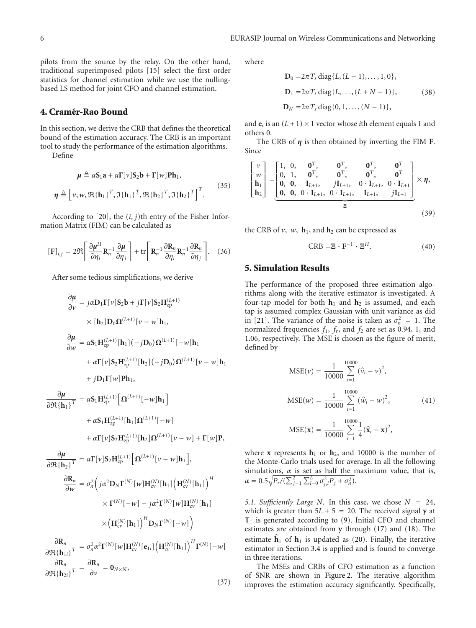pilots from the source by the relay. On the other hand, traditional superimposed pilots [15] select the first order statistics for channel estimation while we use the nullingbased LS method for joint CFO and channel estimation.

#### **4. Cramer-Rao Bound ´**

In this section, we derive the CRB that defines the theoretical bound of the estimation accuracy. The CRB is an important tool to study the performance of the estimation algorithms.

Define

$$
\mu \triangleq \alpha \mathbf{S}_1 \mathbf{a} + \alpha \Gamma[\nu] \mathbf{S}_2 \mathbf{b} + \Gamma[\nu] \mathbf{P} \mathbf{h}_1,
$$
  

$$
\eta \triangleq [\nu, \nu, \Re{\{\mathbf{h}_1\}}^T, \Im{\{\mathbf{h}_1\}}^T, \Re{\{\mathbf{h}_2\}}^T, \Im{\{\mathbf{h}_2\}}^T]^T.
$$
 (35)

According to  $[20]$ , the  $(i, j)$ th entry of the Fisher Information Matrix (FIM) can be calculated as  $j$ )th o<br>calcul:<br>+ tr  $\begin{bmatrix} 1 \end{bmatrix}$ 

$$
[\mathbf{F}]_{i,j} = 2\Re\left[\frac{\partial\mu^H}{\partial\eta_i}\mathbf{R}_n^{-1}\frac{\partial\mu}{\partial\eta_j}\right] + \text{tr}\left[\mathbf{R}_n^{-1}\frac{\partial\mathbf{R}_n}{\partial\eta_i}\mathbf{R}_n^{-1}\frac{\partial\mathbf{R}_n}{\partial\eta_j}\right].
$$
 (36)

After some tedious simplifications, we derive

$$
\frac{\partial \mu}{\partial v} = j\alpha \mathbf{D}_1 \Gamma[v] \mathbf{S}_2 \mathbf{b} + j\Gamma[v] \mathbf{S}_2 \mathbf{H}_{zp}^{(L+1)}
$$
\n
$$
\times [\mathbf{h}_2] \mathbf{D}_0 \Omega^{(L+1)}[v - w] \mathbf{h}_1,
$$
\n
$$
\frac{\partial \mu}{\partial w} = \alpha \mathbf{S}_1 \mathbf{H}_{zp}^{(L+1)}[\mathbf{h}_1] (-j\mathbf{D}_0) \Omega^{(L+1)}[-w] \mathbf{h}_1
$$
\n
$$
+ \alpha \Gamma[v] \mathbf{S}_2 \mathbf{H}_{zp}^{(L+1)}[\mathbf{h}_2] (-j\mathbf{D}_0) \Omega^{(L+1)}[v - w] \mathbf{h}_1
$$
\n
$$
+ j\mathbf{D}_1 \Gamma[w] \mathbf{P} \mathbf{h}_1,
$$
\n
$$
\frac{\partial \mu}{\partial \Re{\{\mathbf{h}_1\}}^T} = \alpha \mathbf{S}_1 \mathbf{H}_{zp}^{(L+1)}[\Omega^{(L+1)}[-w] \mathbf{h}_1]
$$
\n
$$
+ \alpha \mathbf{S}_1 \mathbf{H}_{zp}^{(L+1)}[\mathbf{h}_1] \Omega^{(L+1)}[-w]
$$
\n
$$
+ \alpha \Gamma[v] \mathbf{S}_2 \mathbf{H}_{zp}^{(L+1)}[\mathbf{h}_2] \Omega^{(L+1)}[v - w] + \Gamma[w] \mathbf{P},
$$
\n
$$
\frac{\partial \mu}{\partial \Phi \mathbf{h}_2 \mathbf{h}_2^T} = \alpha \Gamma[v] \mathbf{S}_2 \mathbf{H}_{zp}^{(L+1)}[\Omega^{(L+1)}[v - w] \mathbf{h}_1],
$$
\n
$$
\frac{\partial \mathbf{R}_n}{\partial w} = \sigma_n^2 \left( j\alpha^2 \mathbf{D}_N \Gamma^{(N)}[w] \mathbf{H}_{cv}^{(N)}[\mathbf{h}_1] \left( \mathbf{H}_{cv}^{(N)}[\mathbf{h}_1] \right)^H
$$
\n
$$
\times \Gamma^{(N)}[-w] - j\alpha^2 \Gamma^{(N)}[w] \mathbf{H}_{cv}^{(N)}[\mathbf{h}_1]
$$
\n
$$
\frac{\partial \mathbf{R
$$

where

$$
\mathbf{D}_0 = 2\pi T_s \operatorname{diag}\{L, (L-1), \dots, 1, 0\},
$$
  
\n
$$
\mathbf{D}_1 = 2\pi T_s \operatorname{diag}\{L, \dots, (L+N-1)\},
$$
  
\n
$$
\mathbf{D}_N = 2\pi T_s \operatorname{diag}\{0, 1, \dots, (N-1)\},
$$
  
\n(38)

and  $\mathbf{e}_i$  is an  $(L+1) \times 1$  vector whose *i*th element equals 1 and others 0.

The CRB of  $\eta$  is then obtained by inverting the FIM **F**. Since  $\ddot{\phantom{0}}$ 

$$
\begin{bmatrix} \nu \\ w \\ h_1 \\ h_2 \end{bmatrix} = \begin{bmatrix} 1, & 0, & \mathbf{0}^T, & \mathbf{0}^T, & \mathbf{0}^T, & \mathbf{0}^T \\ 0, & 1, & \mathbf{0}^T, & \mathbf{0}^T, & \mathbf{0}^T, & \mathbf{0}^T \\ \mathbf{0}, & \mathbf{0}, & \mathbf{I}_{L+1}, & j\mathbf{I}_{L+1}, & 0 \cdot \mathbf{I}_{L+1}, & 0 \cdot \mathbf{I}_{L+1} \\ \mathbf{0}, & \mathbf{0}, & 0 \cdot \mathbf{I}_{L+1}, & 0 \cdot \mathbf{I}_{L+1}, & j\mathbf{I}_{L+1} \end{bmatrix} \times \eta,
$$
\n
$$
\equiv (39)
$$

the CRB of  $v$ ,  $w$ ,  $h_1$ , and  $h_2$  can be expressed as

$$
CRB = \mathbf{\Xi} \cdot \mathbf{F}^{-1} \cdot \mathbf{\Xi}^{H}.
$$
 (40)

#### **5. Simulation Results**

The performance of the proposed three estimation algorithms along with the iterative estimator is investigated. A four-tap model for both  $h_1$  and  $h_2$  is assumed, and each tap is assumed complex Gaussian with unit variance as did in [21]. The variance of the noise is taken as  $\sigma_n^2 = 1$ . The normalized frequencies  $f_1$ ,  $f_r$ , and  $f_2$  are set as 0.94, 1, and 1.06, respectively. The MSE is chosen as the figure of merit, defined by

$$
MSE(\nu) = \frac{1}{10000} \sum_{i=1}^{10000} (\hat{\nu}_i - \nu)^2,
$$
  
\n
$$
MSE(\nu) = \frac{1}{10000} \sum_{i=1}^{10000} (\hat{\nu}_i - \nu)^2,
$$
  
\n
$$
MSE(\mathbf{x}) = \frac{1}{10000} \sum_{i=1}^{10000} \frac{1}{4} (\hat{\mathbf{x}}_i - \mathbf{x})^2,
$$
\n(41)

where  $x$  represents  $h_1$  or  $h_2$ , and 10000 is the number of the Monte-Carlo trials used for average. In all the following simulations,  $\alpha$  is set as half the maximum value, that is,  $\alpha = 0.5\sqrt{P_r/(\sum_{j=1}^2\sum_{l=0}^L\sigma_{j,l}^2P_j + \sigma_n^2)}$ .

*5.1. Sufficiently Large N.* In this case, we chose  $N = 24$ , which is greater than  $5L + 5 = 20$ . The received signal **y** at T<sub>1</sub> is generated according to (9). Initial CFO and channel estimates are obtained from **y** through (17) and (18). The estimate  $\hat{\mathbf{h}}_1$  of  $\mathbf{h}_1$  is updated as (20). Finally, the iterative estimates are obtained from **y** through (17) and (18). The estimator in Section 3.4 is applied and is found to converge in three iterations.

The MSEs and CRBs of CFO estimation as a function of SNR are shown in Figure 2. The iterative algorithm improves the estimation accuracy significantly. Specifically,

$$
(37)
$$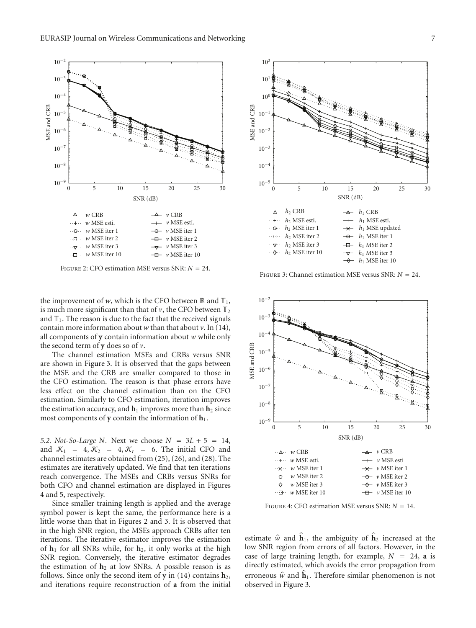

Figure 2: CFO estimation MSE versus SNR: *<sup>N</sup>* <sup>=</sup> 24.

the improvement of *w*, which is the CFO between  $\mathbb R$  and  $\mathbb T_1$ , is much more significant than that of  $\nu$ , the CFO between  $\mathbb{T}_2$ and  $\mathbb{T}_1$ . The reason is due to the fact that the received signals contain more information about *w* than that about *v*. In (14), all components of **y** contain information about *w* while only the second term of **y** does so of *v*.

The channel estimation MSEs and CRBs versus SNR are shown in Figure 3. It is observed that the gaps between the MSE and the CRB are smaller compared to those in the CFO estimation. The reason is that phase errors have less effect on the channel estimation than on the CFO estimation. Similarly to CFO estimation, iteration improves the estimation accuracy, and  $\mathbf{h}_1$  improves more than  $\mathbf{h}_2$  since most components of **y** contain the information of **h**1.

*5.2. Not-So-Large <sup>N</sup>.* Next we choose *<sup>N</sup>* <sup>=</sup> <sup>3</sup>*<sup>L</sup>* + 5 <sup>=</sup> 14, and  $\mathcal{K}_1 = 4, \mathcal{K}_2 = 4, \mathcal{K}_r = 6$ . The initial CFO and channel estimates are obtained from (25), (26), and (28). The estimates are iteratively updated. We find that ten iterations reach convergence. The MSEs and CRBs versus SNRs for both CFO and channel estimation are displayed in Figures 4 and 5, respectively.

Since smaller training length is applied and the average symbol power is kept the same, the performance here is a little worse than that in Figures 2 and 3. It is observed that in the high SNR region, the MSEs approach CRBs after ten iterations. The iterative estimator improves the estimation of **h**<sup>1</sup> for all SNRs while, for **h**2, it only works at the high SNR region. Conversely, the iterative estimator degrades the estimation of  $h_2$  at low SNRs. A possible reason is as follows. Since only the second item of  $y$  in (14) contains  $h_2$ , and iterations require reconstruction of **a** from the initial



Figure 3: Channel estimation MSE versus SNR: *<sup>N</sup>* <sup>=</sup> 24.



Figure 4: CFO estimation MSE versus SNR: *<sup>N</sup>* <sup>=</sup> 14.

estimate  $\hat{w}$  and  $\mathbf{h}_1$ , the ambiguity of  $\mathbf{h}_2$  increased at the low SNR region from errors of all factors. However, in the case of large training length, for example,  $N = 24$ , **a** is directly estimated, which avoids the error propagation from erroneous  $\hat{w}$  and  $\hat{h}_1$ . Therefore similar phenomenon is not observed in Figure 3.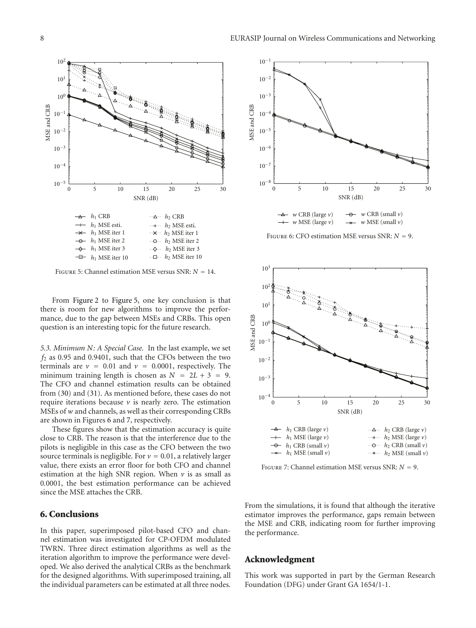

Figure 5: Channel estimation MSE versus SNR: *<sup>N</sup>* <sup>=</sup> 14.

From Figure 2 to Figure 5, one key conclusion is that there is room for new algorithms to improve the performance, due to the gap between MSEs and CRBs. This open question is an interesting topic for the future research.

*5.3. Minimum N: A Special Case.* In the last example, we set *f*<sup>2</sup> as 0.95 and 0.9401, such that the CFOs between the two terminals are  $v = 0.01$  and  $v = 0.0001$ , respectively. The minimum training length is chosen as  $N = 2L + 3 = 9$ . The CFO and channel estimation results can be obtained from (30) and (31). As mentioned before, these cases do not require iterations because  $\nu$  is nearly zero. The estimation MSEs of *w* and channels, as well as their corresponding CRBs are shown in Figures 6 and 7, respectively.

These figures show that the estimation accuracy is quite close to CRB. The reason is that the interference due to the pilots is negligible in this case as the CFO between the two source terminals is negligible. For  $v = 0.01$ , a relatively larger value, there exists an error floor for both CFO and channel estimation at the high SNR region. When  $\nu$  is as small as 0*.*0001, the best estimation performance can be achieved since the MSE attaches the CRB.

#### **6. Conclusions**

In this paper, superimposed pilot-based CFO and channel estimation was investigated for CP-OFDM modulated TWRN. Three direct estimation algorithms as well as the iteration algorithm to improve the performance were developed. We also derived the analytical CRBs as the benchmark for the designed algorithms. With superimposed training, all the individual parameters can be estimated at all three nodes.



Figure 6: CFO estimation MSE versus SNR: *<sup>N</sup>* <sup>=</sup> 9.



Figure 7: Channel estimation MSE versus SNR: *<sup>N</sup>* <sup>=</sup> 9.

From the simulations, it is found that although the iterative estimator improves the performance, gaps remain between the MSE and CRB, indicating room for further improving the performance.

#### **Acknowledgment**

This work was supported in part by the German Research Foundation (DFG) under Grant GA 1654/1-1.